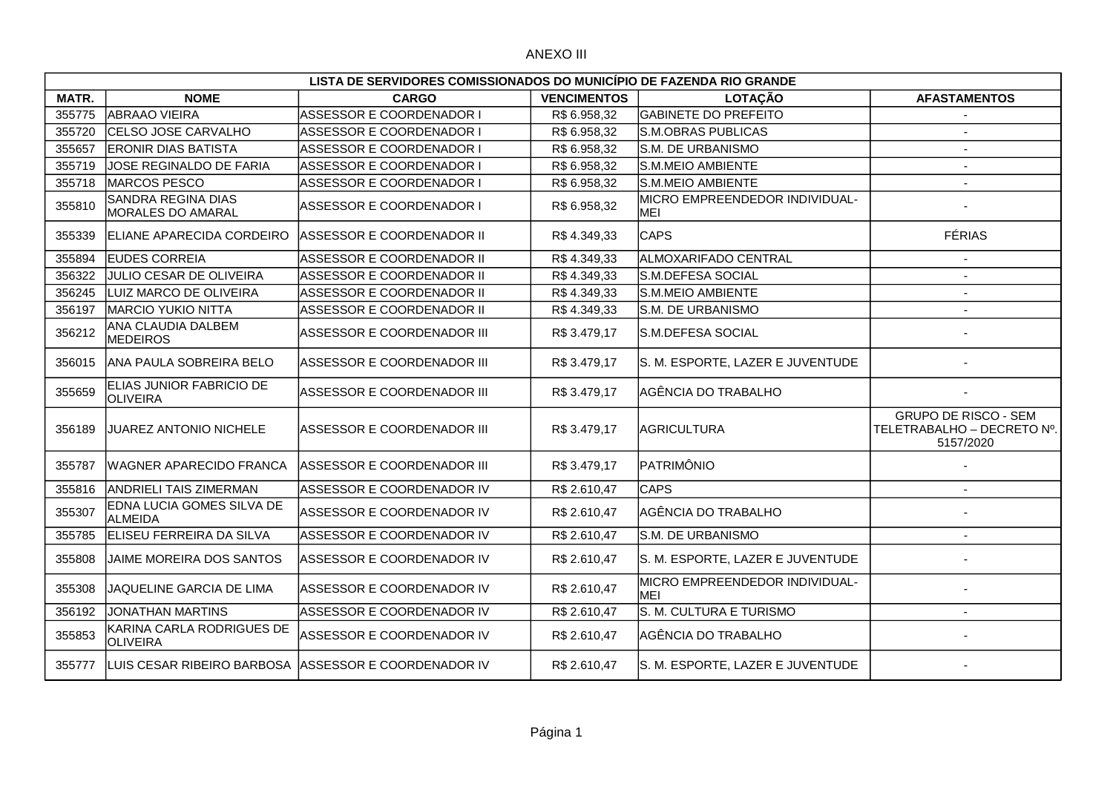## ANEXO III

|        | LISTA DE SERVIDORES COMISSIONADOS DO MUNICÍPIO DE FAZENDA RIO GRANDE |                                                       |                    |                                               |                                                                        |  |  |
|--------|----------------------------------------------------------------------|-------------------------------------------------------|--------------------|-----------------------------------------------|------------------------------------------------------------------------|--|--|
| MATR.  | <b>NOME</b>                                                          | <b>CARGO</b>                                          | <b>VENCIMENTOS</b> | <b>LOTAÇÃO</b>                                | <b>AFASTAMENTOS</b>                                                    |  |  |
| 355775 | <b>ABRAAO VIEIRA</b>                                                 | ASSESSOR E COORDENADOR I                              | R\$ 6.958,32       | <b>GABINETE DO PREFEITO</b>                   |                                                                        |  |  |
| 355720 | CELSO JOSE CARVALHO                                                  | ASSESSOR E COORDENADOR I                              | R\$ 6.958,32       | S.M.OBRAS PUBLICAS                            | $\blacksquare$                                                         |  |  |
| 355657 | <b>ERONIR DIAS BATISTA</b>                                           | ASSESSOR E COORDENADOR I                              | R\$ 6.958,32       | S.M. DE URBANISMO                             |                                                                        |  |  |
| 355719 | JOSE REGINALDO DE FARIA                                              | <b>ASSESSOR E COORDENADOR I</b>                       | R\$ 6.958,32       | S.M.MEIO AMBIENTE                             | $\overline{\phantom{a}}$                                               |  |  |
| 355718 | <b>MARCOS PESCO</b>                                                  | ASSESSOR E COORDENADOR I                              | R\$ 6.958,32       | S.M.MEIO AMBIENTE                             | $\sim$                                                                 |  |  |
| 355810 | <b>SANDRA REGINA DIAS</b><br><b>MORALES DO AMARAL</b>                | ASSESSOR E COORDENADOR I                              | R\$ 6.958,32       | <b>IMICRO EMPREENDEDOR INDIVIDUAL-</b><br>MEI |                                                                        |  |  |
| 355339 | <b>IELIANE APARECIDA CORDEIRO</b>                                    | ASSESSOR E COORDENADOR II                             | R\$4.349,33        | <b>CAPS</b>                                   | <b>FÉRIAS</b>                                                          |  |  |
| 355894 | <b>EUDES CORREIA</b>                                                 | IASSESSOR E COORDENADOR II                            | R\$4.349,33        | ALMOXARIFADO CENTRAL                          |                                                                        |  |  |
| 356322 | JULIO CESAR DE OLIVEIRA                                              | ASSESSOR E COORDENADOR II                             | R\$4.349,33        | S.M.DEFESA SOCIAL                             |                                                                        |  |  |
| 356245 | LUIZ MARCO DE OLIVEIRA                                               | ASSESSOR E COORDENADOR II                             | R\$4.349,33        | S.M.MEIO AMBIENTE                             |                                                                        |  |  |
| 356197 | <b>MARCIO YUKIO NITTA</b>                                            | ASSESSOR E COORDENADOR II                             | R\$4.349,33        | S.M. DE URBANISMO                             |                                                                        |  |  |
| 356212 | ANA CLAUDIA DALBEM<br><b>MEDEIROS</b>                                | ASSESSOR E COORDENADOR III                            | R\$ 3.479,17       | S.M.DEFESA SOCIAL                             |                                                                        |  |  |
| 356015 | ANA PAULA SOBREIRA BELO                                              | ASSESSOR E COORDENADOR III                            | R\$ 3.479,17       | S. M. ESPORTE, LAZER E JUVENTUDE              |                                                                        |  |  |
| 355659 | ELIAS JUNIOR FABRICIO DE<br><b>OLIVEIRA</b>                          | ASSESSOR E COORDENADOR III                            | R\$ 3.479,17       | AGÊNCIA DO TRABALHO                           |                                                                        |  |  |
| 356189 | JUAREZ ANTONIO NICHELE                                               | ASSESSOR E COORDENADOR III                            | R\$ 3.479,17       | <b>AGRICULTURA</b>                            | <b>GRUPO DE RISCO - SEM</b><br>TELETRABALHO - DECRETO Nº.<br>5157/2020 |  |  |
| 355787 | <b>WAGNER APARECIDO FRANCA</b>                                       | ASSESSOR E COORDENADOR III                            | R\$3.479,17        | PATRIMÔNIO                                    |                                                                        |  |  |
| 355816 | <b>ANDRIELI TAIS ZIMERMAN</b>                                        | ASSESSOR E COORDENADOR IV                             | R\$ 2.610,47       | <b>CAPS</b>                                   |                                                                        |  |  |
| 355307 | EDNA LUCIA GOMES SILVA DE<br><b>ALMEIDA</b>                          | ASSESSOR E COORDENADOR IV                             | R\$ 2.610,47       | AGÊNCIA DO TRABALHO                           |                                                                        |  |  |
| 355785 | ELISEU FERREIRA DA SILVA                                             | IASSESSOR E COORDENADOR IV                            | R\$ 2.610,47       | <b>S.M. DE URBANISMO</b>                      |                                                                        |  |  |
| 355808 | JAIME MOREIRA DOS SANTOS                                             | ASSESSOR E COORDENADOR IV                             | R\$ 2.610,47       | S. M. ESPORTE, LAZER E JUVENTUDE              |                                                                        |  |  |
| 355308 | JAQUELINE GARCIA DE LIMA                                             | ASSESSOR E COORDENADOR IV                             | R\$ 2.610,47       | MICRO EMPREENDEDOR INDIVIDUAL-<br><b>IMEI</b> |                                                                        |  |  |
| 356192 | <b>JONATHAN MARTINS</b>                                              | ASSESSOR E COORDENADOR IV                             | R\$ 2.610,47       | S. M. CULTURA E TURISMO                       |                                                                        |  |  |
| 355853 | KARINA CARLA RODRIGUES DE<br><b>OLIVEIRA</b>                         | ASSESSOR E COORDENADOR IV                             | R\$ 2.610,47       | AGÊNCIA DO TRABALHO                           |                                                                        |  |  |
| 355777 |                                                                      | LUIS CESAR RIBEIRO BARBOSA AASSESSOR E COORDENADOR IV | R\$ 2.610,47       | S. M. ESPORTE, LAZER E JUVENTUDE              |                                                                        |  |  |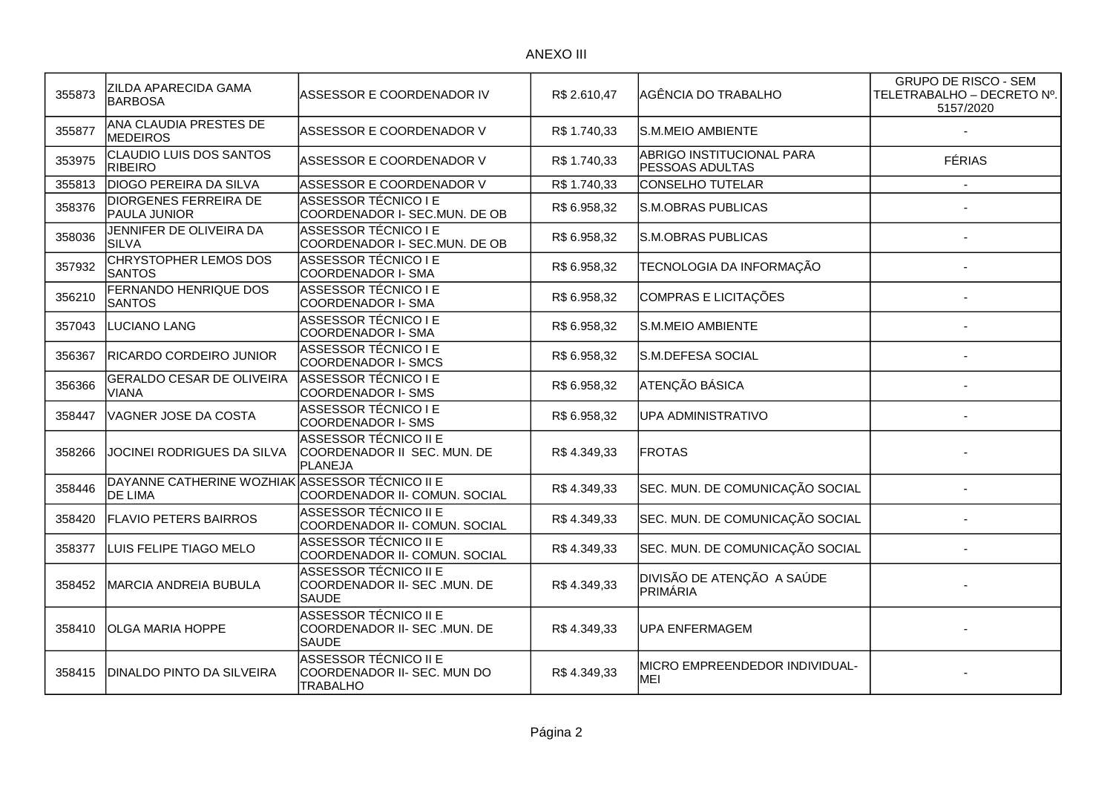## ANEXO III

| 355873 | ZILDA APARECIDA GAMA<br><b>BARBOSA</b>           | ASSESSOR E COORDENADOR IV                                                      | R\$ 2.610,47 | AGÊNCIA DO TRABALHO                          | <b>GRUPO DE RISCO - SEM</b><br>TELETRABALHO - DECRETO Nº.<br>5157/2020 |
|--------|--------------------------------------------------|--------------------------------------------------------------------------------|--------------|----------------------------------------------|------------------------------------------------------------------------|
| 355877 | ANA CLAUDIA PRESTES DE<br><b>MEDEIROS</b>        | ASSESSOR E COORDENADOR V                                                       | R\$ 1.740,33 | S.M.MEIO AMBIENTE                            |                                                                        |
| 353975 | CLAUDIO LUIS DOS SANTOS<br><b>RIBEIRO</b>        | ASSESSOR E COORDENADOR V                                                       | R\$ 1.740,33 | ABRIGO INSTITUCIONAL PARA<br>PESSOAS ADULTAS | <b>FÉRIAS</b>                                                          |
| 355813 | <b>DIOGO PEREIRA DA SILVA</b>                    | ASSESSOR E COORDENADOR V                                                       | R\$ 1.740,33 | <b>CONSELHO TUTELAR</b>                      |                                                                        |
| 358376 | <b>DIORGENES FERREIRA DE</b><br>PAULA JUNIOR     | ASSESSOR TÉCNICO I E<br>COORDENADOR I- SEC.MUN. DE OB                          | R\$ 6.958,32 | <b>S.M.OBRAS PUBLICAS</b>                    |                                                                        |
| 358036 | JENNIFER DE OLIVEIRA DA<br><b>SILVA</b>          | <b>ASSESSOR TÉCNICO I E</b><br>COORDENADOR I- SEC.MUN. DE OB                   | R\$ 6.958,32 | <b>S.M.OBRAS PUBLICAS</b>                    |                                                                        |
| 357932 | <b>CHRYSTOPHER LEMOS DOS</b><br><b>SANTOS</b>    | <b>ASSESSOR TÉCNICO I E</b><br>COORDENADOR I- SMA                              | R\$ 6.958,32 | TECNOLOGIA DA INFORMAÇÃO                     |                                                                        |
| 356210 | FERNANDO HENRIQUE DOS<br><b>SANTOS</b>           | ASSESSOR TÉCNICO I E<br>COORDENADOR I- SMA                                     | R\$ 6.958,32 | COMPRAS E LICITAÇÕES                         |                                                                        |
| 357043 | <b>LUCIANO LANG</b>                              | <b>ASSESSOR TÉCNICO I E</b><br>COORDENADOR I- SMA                              | R\$ 6.958,32 | S.M.MEIO AMBIENTE                            |                                                                        |
| 356367 | RICARDO CORDEIRO JUNIOR                          | ASSESSOR TÉCNICO I E<br>COORDENADOR I- SMCS                                    | R\$ 6.958,32 | S.M.DEFESA SOCIAL                            |                                                                        |
| 356366 | <b>GERALDO CESAR DE OLIVEIRA</b><br><b>VIANA</b> | <b>ASSESSOR TÉCNICO I E</b><br><b>COORDENADOR I- SMS</b>                       | R\$ 6.958,32 | ATENÇÃO BÁSICA                               |                                                                        |
| 358447 | VAGNER JOSE DA COSTA                             | <b>ASSESSOR TÉCNICO I E</b><br>COORDENADOR I- SMS                              | R\$ 6.958,32 | UPA ADMINISTRATIVO                           |                                                                        |
| 358266 | JOCINEI RODRIGUES DA SILVA                       | ASSESSOR TÉCNICO II E<br>COORDENADOR II SEC. MUN. DE<br>PLANEJA                | R\$4.349,33  | <b>FROTAS</b>                                |                                                                        |
| 358446 | DAYANNE CATHERINE WOZHIAK<br><b>DE LIMA</b>      | ASSESSOR TÉCNICO II E<br>COORDENADOR II- COMUN. SOCIAL                         | R\$4.349,33  | SEC. MUN. DE COMUNICAÇÃO SOCIAL              |                                                                        |
| 358420 | <b>FLAVIO PETERS BAIRROS</b>                     | <b>ASSESSOR TÉCNICO II E</b><br>COORDENADOR II- COMUN. SOCIAL                  | R\$4.349,33  | SEC. MUN. DE COMUNICAÇÃO SOCIAL              |                                                                        |
| 358377 | LUIS FELIPE TIAGO MELO                           | ASSESSOR TÉCNICO II E<br>COORDENADOR II- COMUN. SOCIAL                         | R\$4.349,33  | SEC. MUN. DE COMUNICAÇÃO SOCIAL              |                                                                        |
| 358452 | MARCIA ANDREIA BUBULA                            | <b>ASSESSOR TÉCNICO II E</b><br>COORDENADOR II- SEC .MUN. DE<br><b>SAUDE</b>   | R\$4.349,33  | DIVISÃO DE ATENÇÃO A SAÚDE<br>PRIMÁRIA       |                                                                        |
| 358410 | <b>OLGA MARIA HOPPE</b>                          | <b>ASSESSOR TÉCNICO II E</b><br>COORDENADOR II- SEC .MUN. DE<br><b>SAUDE</b>   | R\$4.349,33  | <b>UPA ENFERMAGEM</b>                        |                                                                        |
| 358415 | DINALDO PINTO DA SILVEIRA                        | <b>ASSESSOR TÉCNICO II E</b><br>COORDENADOR II- SEC. MUN DO<br><b>TRABALHO</b> | R\$4.349,33  | MICRO EMPREENDEDOR INDIVIDUAL-<br>MEI        |                                                                        |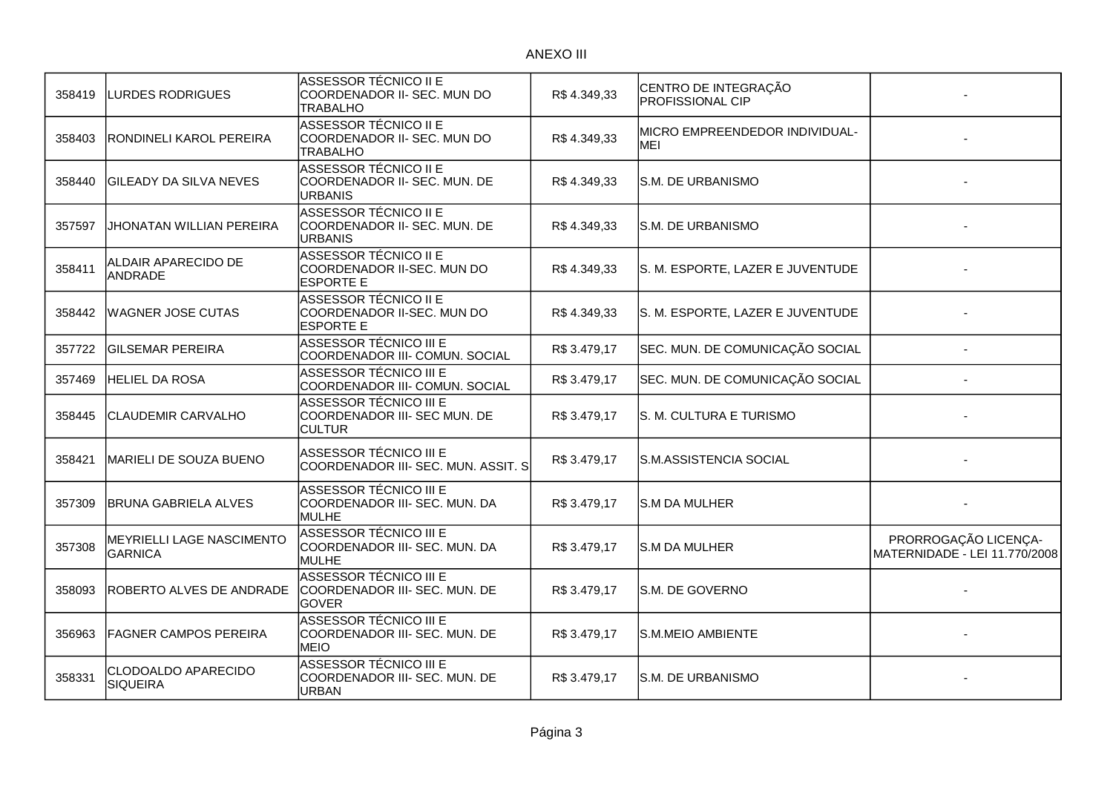| <b>LURDES RODRIGUES</b>                     | ASSESSOR TÉCNICO II E<br>COORDENADOR II- SEC. MUN DO<br><b>TRABALHO</b>        | R\$4.349,33  | CENTRO DE INTEGRAÇÃO<br><b>PROFISSIONAL CIP</b> |                                                       |
|---------------------------------------------|--------------------------------------------------------------------------------|--------------|-------------------------------------------------|-------------------------------------------------------|
| RONDINELI KAROL PEREIRA                     | ASSESSOR TÉCNICO II E<br>COORDENADOR II- SEC. MUN DO<br><b>TRABALHO</b>        | R\$4.349,33  | MICRO EMPREENDEDOR INDIVIDUAL-<br>MEI           |                                                       |
| <b>GILEADY DA SILVA NEVES</b>               | <b>ASSESSOR TÉCNICO II E</b><br>COORDENADOR II- SEC. MUN. DE<br><b>URBANIS</b> | R\$4.349,33  | S.M. DE URBANISMO                               |                                                       |
| JHONATAN WILLIAN PEREIRA                    | ASSESSOR TÉCNICO II E<br>COORDENADOR II- SEC. MUN. DE<br>URBANIS               | R\$4.349,33  | S.M. DE URBANISMO                               |                                                       |
| ALDAIR APARECIDO DE<br><b>ANDRADE</b>       | ASSESSOR TÉCNICO II E<br>COORDENADOR II-SEC. MUN DO<br><b>ESPORTE E</b>        | R\$4.349,33  | S. M. ESPORTE, LAZER E JUVENTUDE                |                                                       |
| <b>WAGNER JOSE CUTAS</b>                    | ASSESSOR TÉCNICO II E<br>COORDENADOR II-SEC. MUN DO<br>ESPORTE E               | R\$4.349,33  | S. M. ESPORTE, LAZER E JUVENTUDE                |                                                       |
| <b>GILSEMAR PEREIRA</b>                     | ASSESSOR TÉCNICO III E<br>COORDENADOR III- COMUN. SOCIAL                       | R\$ 3.479,17 | SEC. MUN. DE COMUNICAÇÃO SOCIAL                 |                                                       |
| <b>HELIEL DA ROSA</b>                       | ASSESSOR TÉCNICO III E<br>COORDENADOR III- COMUN. SOCIAL                       | R\$ 3.479,17 | SEC. MUN. DE COMUNICAÇÃO SOCIAL                 |                                                       |
| CLAUDEMIR CARVALHO                          | ASSESSOR TÉCNICO III E<br>COORDENADOR III- SEC MUN. DE<br><b>CULTUR</b>        | R\$ 3.479,17 | S. M. CULTURA E TURISMO                         |                                                       |
| MARIELI DE SOUZA BUENO                      | ASSESSOR TÉCNICO III E<br>COORDENADOR III- SEC. MUN. ASSIT. S                  | R\$ 3.479,17 | S.M.ASSISTENCIA SOCIAL                          |                                                       |
| <b>IBRUNA GABRIELA ALVES</b>                | ASSESSOR TÉCNICO III E<br>COORDENADOR III- SEC. MUN. DA<br><b>MULHE</b>        | R\$ 3.479,17 | <b>S.M DA MULHER</b>                            |                                                       |
| MEYRIELLI LAGE NASCIMENTO<br><b>GARNICA</b> | <b>ASSESSOR TÉCNICO III E</b><br>COORDENADOR III- SEC. MUN. DA<br>MULHE        | R\$3.479,17  | <b>S.M DA MULHER</b>                            | PRORROGAÇÃO LICENÇA-<br>MATERNIDADE - LEI 11.770/2008 |
| ROBERTO ALVES DE ANDRADE                    | ASSESSOR TÉCNICO III E<br>COORDENADOR III- SEC. MUN. DE<br><b>GOVER</b>        | R\$ 3.479,17 | S.M. DE GOVERNO                                 |                                                       |
| <b>FAGNER CAMPOS PEREIRA</b>                | <b>ASSESSOR TÉCNICO III E</b><br>COORDENADOR III- SEC. MUN. DE<br><b>MEIO</b>  | R\$ 3.479,17 | <b>S.M.MEIO AMBIENTE</b>                        |                                                       |
| CLODOALDO APARECIDO<br><b>SIQUEIRA</b>      | ASSESSOR TÉCNICO III E<br>COORDENADOR III- SEC. MUN. DE<br>URBAN               | R\$3.479,17  | S.M. DE URBANISMO                               |                                                       |
|                                             |                                                                                |              |                                                 |                                                       |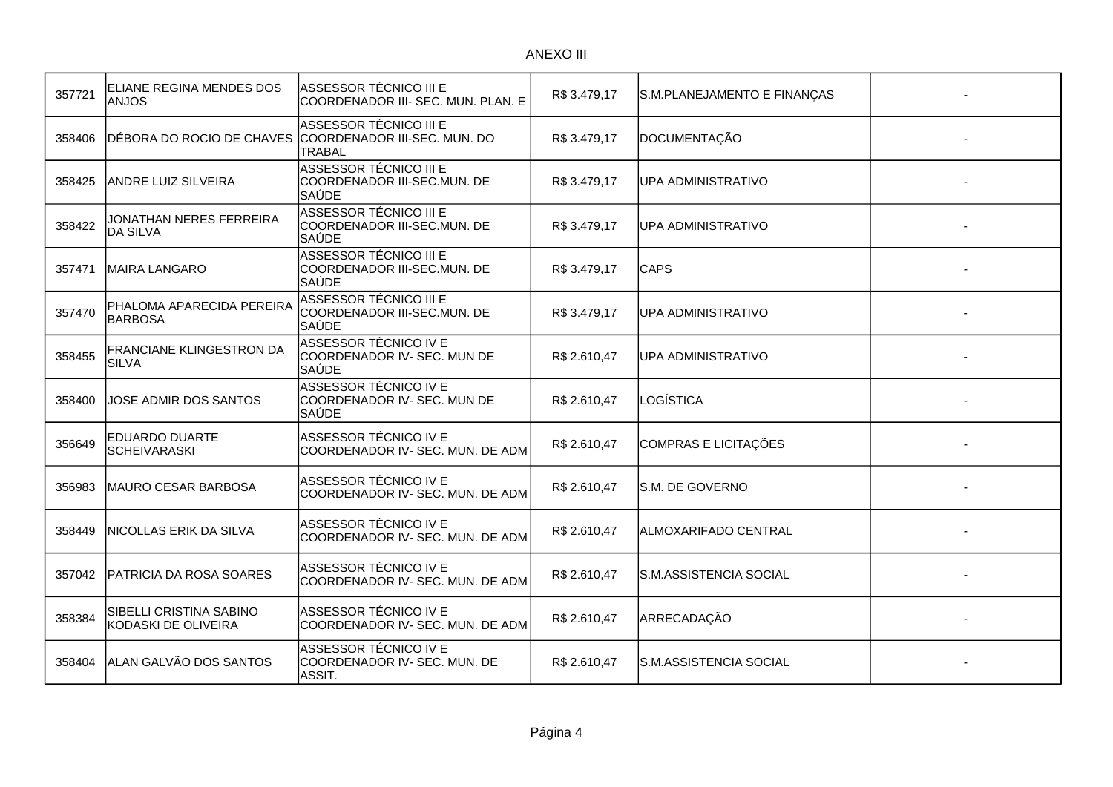| 357721 | ELIANE REGINA MENDES DOS<br><b>ANJOS</b>        | ASSESSOR TÉCNICO III E<br>COORDENADOR III- SEC. MUN. PLAN. E          | R\$3.479,17  | S.M.PLANEJAMENTO E FINANÇAS |  |
|--------|-------------------------------------------------|-----------------------------------------------------------------------|--------------|-----------------------------|--|
| 358406 | DÉBORA DO ROCIO DE CHAVES                       | ASSESSOR TÉCNICO III E<br>COORDENADOR III-SEC. MUN. DO<br>TRABAL      | R\$ 3.479,17 | <b>DOCUMENTAÇÃO</b>         |  |
| 358425 | <b>ANDRE LUIZ SILVEIRA</b>                      | <b>ASSESSOR TÉCNICO III E</b><br>COORDENADOR III-SEC.MUN. DE<br>SAÙDE | R\$ 3.479,17 | <b>UPA ADMINISTRATIVO</b>   |  |
| 358422 | JONATHAN NERES FERREIRA<br><b>DA SILVA</b>      | ASSESSOR TÉCNICO III E<br>COORDENADOR III-SEC.MUN. DE<br><b>SAÚDE</b> | R\$3.479,17  | UPA ADMINISTRATIVO          |  |
| 357471 | <b>MAIRA LANGARO</b>                            | <b>ASSESSOR TÉCNICO III E</b><br>COORDENADOR III-SEC.MUN. DE<br>SAÚDE | R\$ 3.479,17 | <b>CAPS</b>                 |  |
| 357470 | PHALOMA APARECIDA PEREIRA<br><b>BARBOSA</b>     | ASSESSOR TÉCNICO III E<br>COORDENADOR III-SEC.MUN. DE<br>SAÚDE        | R\$3.479,17  | <b>UPA ADMINISTRATIVO</b>   |  |
| 358455 | <b>FRANCIANE KLINGESTRON DA</b><br><b>SILVA</b> | ASSESSOR TÉCNICO IV E<br>COORDENADOR IV- SEC. MUN DE<br><b>SAÚDE</b>  | R\$ 2.610,47 | UPA ADMINISTRATIVO          |  |
| 358400 | JOSE ADMIR DOS SANTOS                           | <b>ASSESSOR TÉCNICO IVE</b><br>COORDENADOR IV- SEC. MUN DE<br>SAÚDE   | R\$ 2.610,47 | LOGÍSTICA                   |  |
| 356649 | EDUARDO DUARTE<br><b>SCHEIVARASKI</b>           | ASSESSOR TÉCNICO IV E<br>COORDENADOR IV- SEC. MUN. DE ADM             | R\$ 2.610,47 | <b>COMPRAS E LICITAÇÕES</b> |  |
| 356983 | MAURO CESAR BARBOSA                             | ASSESSOR TÉCNICO IV E<br>COORDENADOR IV- SEC. MUN. DE ADM             | R\$ 2.610,47 | S.M. DE GOVERNO             |  |
| 358449 | <b>NICOLLAS ERIK DA SILVA</b>                   | ASSESSOR TÉCNICO IV E<br>COORDENADOR IV- SEC. MUN. DE ADM             | R\$ 2.610,47 | ALMOXARIFADO CENTRAL        |  |
| 357042 | <b>PATRICIA DA ROSA SOARES</b>                  | ASSESSOR TÉCNICO IV E<br>COORDENADOR IV- SEC. MUN. DE ADM             | R\$ 2.610,47 | S.M.ASSISTENCIA SOCIAL      |  |
| 358384 | SIBELLI CRISTINA SABINO<br>KODASKI DE OLIVEIRA  | ASSESSOR TÉCNICO IV E<br>COORDENADOR IV- SEC. MUN. DE ADM             | R\$ 2.610,47 | ARRECADAÇÃO                 |  |
| 358404 | ALAN GALVÃO DOS SANTOS                          | ASSESSOR TÉCNICO IVE<br>COORDENADOR IV- SEC. MUN. DE<br>ASSIT.        | R\$ 2.610,47 | S.M.ASSISTENCIA SOCIAL      |  |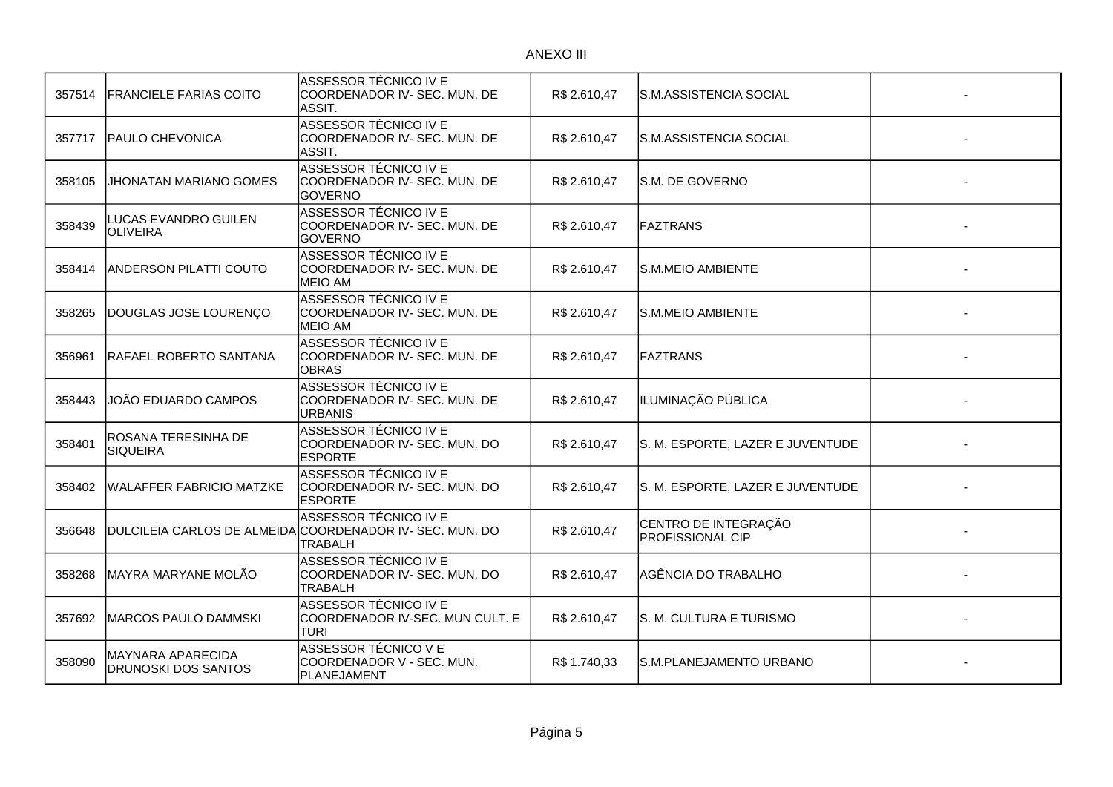| 357514 | <b>FRANCIELE FARIAS COITO</b>                   | ASSESSOR TÉCNICO IV E<br>COORDENADOR IV- SEC. MUN. DE<br>ASSIT.                                     | R\$ 2.610,47 | S.M.ASSISTENCIA SOCIAL                          |  |
|--------|-------------------------------------------------|-----------------------------------------------------------------------------------------------------|--------------|-------------------------------------------------|--|
| 357717 | <b>PAULO CHEVONICA</b>                          | <b>ASSESSOR TÉCNICO IVE</b><br>COORDENADOR IV- SEC. MUN. DE<br>ASSIT.                               | R\$ 2.610,47 | S.M.ASSISTENCIA SOCIAL                          |  |
| 358105 | JHONATAN MARIANO GOMES                          | ASSESSOR TÉCNICO IV E<br>COORDENADOR IV- SEC. MUN. DE<br><b>GOVERNO</b>                             | R\$ 2.610,47 | S.M. DE GOVERNO                                 |  |
| 358439 | LUCAS EVANDRO GUILEN<br>OLIVEIRA                | <b>ASSESSOR TÉCNICO IVE</b><br>COORDENADOR IV- SEC. MUN. DE<br><b>GOVERNO</b>                       | R\$ 2.610,47 | <b>FAZTRANS</b>                                 |  |
| 358414 | <b>ANDERSON PILATTI COUTO</b>                   | ASSESSOR TÉCNICO IV E<br>COORDENADOR IV- SEC. MUN. DE<br><b>MEIO AM</b>                             | R\$ 2.610,47 | S.M.MEIO AMBIENTE                               |  |
| 358265 | DOUGLAS JOSE LOURENÇO                           | ASSESSOR TÉCNICO IV E<br>COORDENADOR IV- SEC. MUN. DE<br><b>MEIO AM</b>                             | R\$ 2.610,47 | S.M.MEIO AMBIENTE                               |  |
| 356961 | RAFAEL ROBERTO SANTANA                          | ASSESSOR TÉCNICO IVE<br>COORDENADOR IV- SEC. MUN. DE<br><b>OBRAS</b>                                | R\$ 2.610,47 | <b>FAZTRANS</b>                                 |  |
| 358443 | JOÃO EDUARDO CAMPOS                             | ASSESSOR TÉCNICO IV E<br>COORDENADOR IV- SEC. MUN. DE<br><b>URBANIS</b>                             | R\$ 2.610,47 | ILUMINAÇÃO PÚBLICA                              |  |
| 358401 | ROSANA TERESINHA DE<br><b>SIQUEIRA</b>          | ASSESSOR TÉCNICO IVE<br>COORDENADOR IV- SEC. MUN. DO<br><b>ESPORTE</b>                              | R\$ 2.610,47 | S. M. ESPORTE, LAZER E JUVENTUDE                |  |
| 358402 | <b>WALAFFER FABRICIO MATZKE</b>                 | ASSESSOR TÉCNICO IV E<br>COORDENADOR IV- SEC. MUN. DO<br><b>ESPORTE</b>                             | R\$ 2.610,47 | S. M. ESPORTE, LAZER E JUVENTUDE                |  |
| 356648 |                                                 | ASSESSOR TÉCNICO IV E<br>DULCILEIA CARLOS DE ALMEIDA COORDENADOR IV- SEC. MUN. DO<br><b>TRABALH</b> | R\$ 2.610,47 | CENTRO DE INTEGRAÇÃO<br><b>PROFISSIONAL CIP</b> |  |
| 358268 | MAYRA MARYANE MOLÃO                             | <b>ASSESSOR TÉCNICO IV E</b><br>COORDENADOR IV- SEC. MUN. DO<br><b>TRABALH</b>                      | R\$ 2.610,47 | AGÊNCIA DO TRABALHO                             |  |
| 357692 | MARCOS PAULO DAMMSKI                            | <b>ASSESSOR TÉCNICO IV E</b><br>COORDENADOR IV-SEC. MUN CULT. E<br><b>TURI</b>                      | R\$ 2.610,47 | S. M. CULTURA E TURISMO                         |  |
| 358090 | MAYNARA APARECIDA<br><b>DRUNOSKI DOS SANTOS</b> | ASSESSOR TÉCNICO V E<br>COORDENADOR V - SEC. MUN.<br>PLANEJAMENT                                    | R\$1.740,33  | S.M.PLANEJAMENTO URBANO                         |  |
|        |                                                 |                                                                                                     |              |                                                 |  |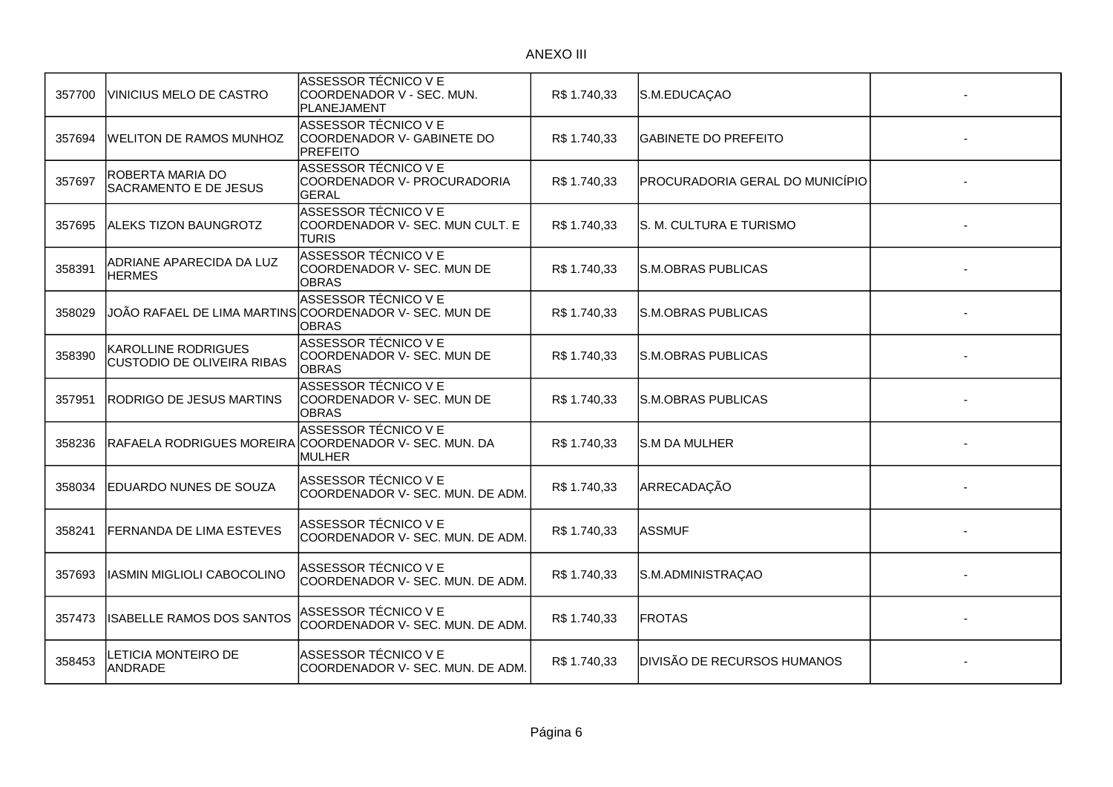| 357700 | <b>VINICIUS MELO DE CASTRO</b>                                  | ASSESSOR TÉCNICO V E<br>COORDENADOR V - SEC. MUN.<br>PLANEJAMENT                                      | R\$ 1.740,33 | S.M.EDUCAÇAO                    |  |
|--------|-----------------------------------------------------------------|-------------------------------------------------------------------------------------------------------|--------------|---------------------------------|--|
| 357694 | <b>WELITON DE RAMOS MUNHOZ</b>                                  | ASSESSOR TÉCNICO V E<br>COORDENADOR V- GABINETE DO<br><b>PREFEITO</b>                                 | R\$ 1.740,33 | <b>GABINETE DO PREFEITO</b>     |  |
| 357697 | ROBERTA MARIA DO<br><b>SACRAMENTO E DE JESUS</b>                | ASSESSOR TÉCNICO V E<br>COORDENADOR V- PROCURADORIA<br>GERAL                                          | R\$1.740,33  | PROCURADORIA GERAL DO MUNICÍPIO |  |
| 357695 | <b>ALEKS TIZON BAUNGROTZ</b>                                    | ASSESSOR TÉCNICO V E<br>COORDENADOR V- SEC. MUN CULT. E<br><b>TURIS</b>                               | R\$ 1.740,33 | S. M. CULTURA E TURISMO         |  |
| 358391 | ADRIANE APARECIDA DA LUZ<br><b>HERMES</b>                       | ASSESSOR TÉCNICO V E<br>COORDENADOR V- SEC. MUN DE<br>OBRAS                                           | R\$1.740,33  | <b>S.M.OBRAS PUBLICAS</b>       |  |
| 358029 |                                                                 | <b>ASSESSOR TÉCNICO V E</b><br>JOÃO RAFAEL DE LIMA MARTINS COORDENADOR V- SEC. MUN DE<br><b>OBRAS</b> | R\$1.740,33  | <b>S.M.OBRAS PUBLICAS</b>       |  |
| 358390 | <b>KAROLLINE RODRIGUES</b><br><b>CUSTODIO DE OLIVEIRA RIBAS</b> | ASSESSOR TÉCNICO V E<br>COORDENADOR V- SEC. MUN DE<br><b>OBRAS</b>                                    | R\$1.740,33  | S.M.OBRAS PUBLICAS              |  |
| 357951 | <b>RODRIGO DE JESUS MARTINS</b>                                 | ASSESSOR TÉCNICO V E<br>COORDENADOR V- SEC. MUN DE<br><b>OBRAS</b>                                    | R\$ 1.740,33 | <b>S.M.OBRAS PUBLICAS</b>       |  |
| 358236 | RAFAELA RODRIGUES MOREIRA                                       | <b>ASSESSOR TÉCNICO V E</b><br>COORDENADOR V- SEC. MUN. DA<br><b>MULHER</b>                           | R\$ 1.740,33 | S.M DA MULHER                   |  |
| 358034 | <b>IEDUARDO NUNES DE SOUZA</b>                                  | ASSESSOR TÉCNICO V E<br>COORDENADOR V- SEC. MUN. DE ADM.                                              | R\$1.740,33  | ARRECADAÇÃO                     |  |
| 358241 | <b>FERNANDA DE LIMA ESTEVES</b>                                 | ASSESSOR TÉCNICO V E<br>COORDENADOR V- SEC. MUN. DE ADM.                                              | R\$ 1.740,33 | <b>ASSMUF</b>                   |  |
| 357693 | IASMIN MIGLIOLI CABOCOLINO                                      | ASSESSOR TÉCNICO V E<br>COORDENADOR V- SEC. MUN. DE ADM.                                              | R\$ 1.740,33 | S.M.ADMINISTRAÇAO               |  |
| 357473 | ISABELLE RAMOS DOS SANTOS                                       | ASSESSOR TÉCNICO V E<br>COORDENADOR V- SEC. MUN. DE ADM.                                              | R\$ 1.740,33 | <b>FROTAS</b>                   |  |
| 358453 | LETICIA MONTEIRO DE<br><b>ANDRADE</b>                           | ASSESSOR TÉCNICO V E<br>COORDENADOR V- SEC. MUN. DE ADM.                                              | R\$1.740,33  | DIVISÃO DE RECURSOS HUMANOS     |  |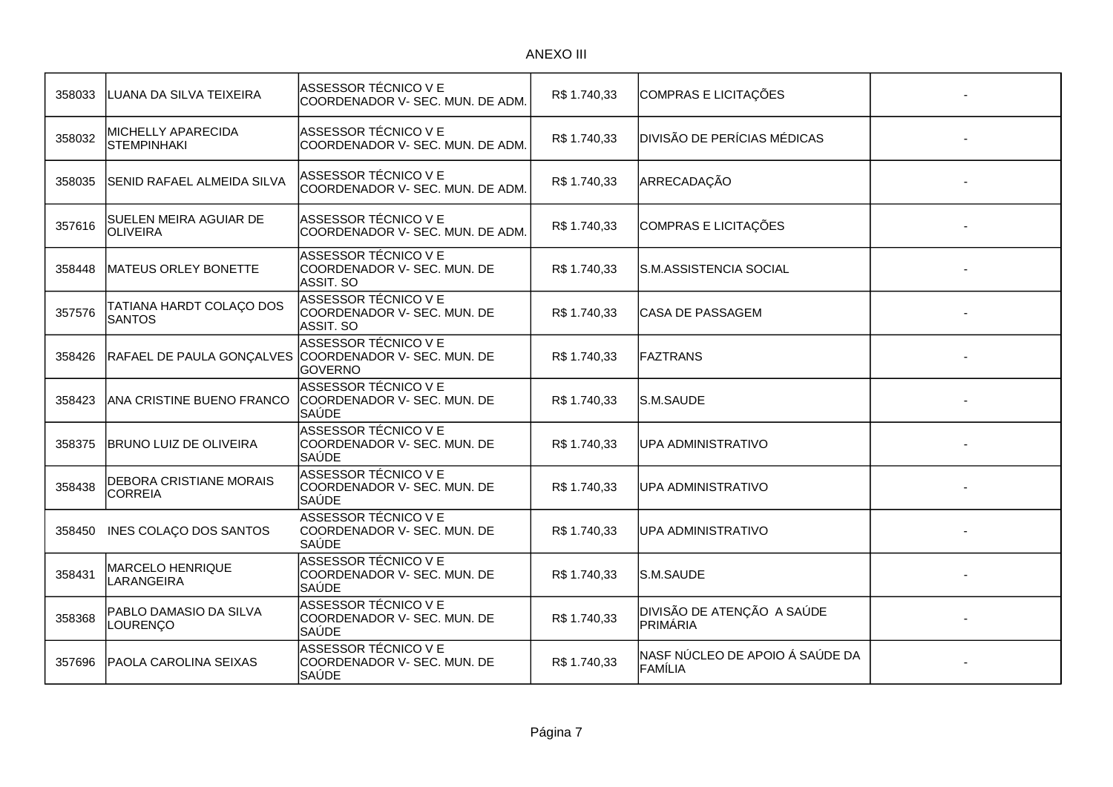| 358033 | LUANA DA SILVA TEIXEIRA                          | ASSESSOR TÉCNICO V E<br>COORDENADOR V- SEC. MUN. DE ADM.              | R\$1.740,33  | COMPRAS E LICITAÇÕES                          |  |
|--------|--------------------------------------------------|-----------------------------------------------------------------------|--------------|-----------------------------------------------|--|
| 358032 | MICHELLY APARECIDA<br><b>STEMPINHAKI</b>         | ASSESSOR TÉCNICO V E<br>COORDENADOR V- SEC. MUN. DE ADM.              | R\$1.740,33  | <b>DIVISÃO DE PERÍCIAS MÉDICAS</b>            |  |
| 358035 | SENID RAFAEL ALMEIDA SILVA                       | ASSESSOR TÉCNICO V E<br>COORDENADOR V- SEC. MUN. DE ADM.              | R\$ 1.740,33 | ARRECADAÇÃO                                   |  |
| 357616 | SUELEN MEIRA AGUIAR DE<br>OLIVEIRA               | ASSESSOR TÉCNICO V E<br>COORDENADOR V- SEC. MUN. DE ADM.              | R\$1.740,33  | COMPRAS E LICITAÇÕES                          |  |
| 358448 | MATEUS ORLEY BONETTE                             | ASSESSOR TÉCNICO V E<br>COORDENADOR V- SEC. MUN. DE<br>ASSIT. SO      | R\$1.740,33  | S.M.ASSISTENCIA SOCIAL                        |  |
| 357576 | TATIANA HARDT COLAÇO DOS<br><b>SANTOS</b>        | ASSESSOR TÉCNICO V E<br>COORDENADOR V- SEC. MUN. DE<br>IASSIT. SO     | R\$1.740,33  | <b>CASA DE PASSAGEM</b>                       |  |
| 358426 | RAFAEL DE PAULA GONÇALVES                        | ASSESSOR TÉCNICO V E<br>COORDENADOR V- SEC. MUN. DE<br><b>GOVERNO</b> | R\$1.740,33  | <b>FAZTRANS</b>                               |  |
| 358423 | ANA CRISTINE BUENO FRANCO                        | ASSESSOR TÉCNICO V E<br>COORDENADOR V- SEC. MUN. DE<br><b>SAÚDE</b>   | R\$1.740,33  | S.M.SAUDE                                     |  |
| 358375 | BRUNO LUIZ DE OLIVEIRA                           | ASSESSOR TÉCNICO V E<br>COORDENADOR V- SEC. MUN. DE<br>SAÚDE          | R\$ 1.740,33 | UPA ADMINISTRATIVO                            |  |
| 358438 | <b>DEBORA CRISTIANE MORAIS</b><br><b>CORREIA</b> | ASSESSOR TÉCNICO V E<br>COORDENADOR V- SEC. MUN. DE<br>SAÚDE          | R\$1.740,33  | <b>UPA ADMINISTRATIVO</b>                     |  |
| 358450 | INES COLAÇO DOS SANTOS                           | ASSESSOR TÉCNICO V E<br>COORDENADOR V- SEC. MUN. DE<br>SAÚDE          | R\$1.740,33  | UPA ADMINISTRATIVO                            |  |
| 358431 | <b>MARCELO HENRIQUE</b><br>LARANGEIRA            | <b>ASSESSOR TÉCNICO V E</b><br>COORDENADOR V- SEC. MUN. DE<br>SAÚDE   | R\$1.740,33  | lS.M.SAUDE                                    |  |
| 358368 | PABLO DAMASIO DA SILVA<br>LOURENÇO               | ASSESSOR TÉCNICO V E<br>COORDENADOR V- SEC. MUN. DE<br>SAÚDE          | R\$1.740,33  | DIVISÃO DE ATENÇÃO A SAÚDE<br><b>PRIMÁRIA</b> |  |
| 357696 | <b>PAOLA CAROLINA SEIXAS</b>                     | ASSESSOR TÉCNICO V E<br>COORDENADOR V- SEC. MUN. DE<br><b>SAÚDE</b>   | R\$1.740,33  | NASF NÚCLEO DE APOIO Á SAÚDE DA<br>FAMÍLIA    |  |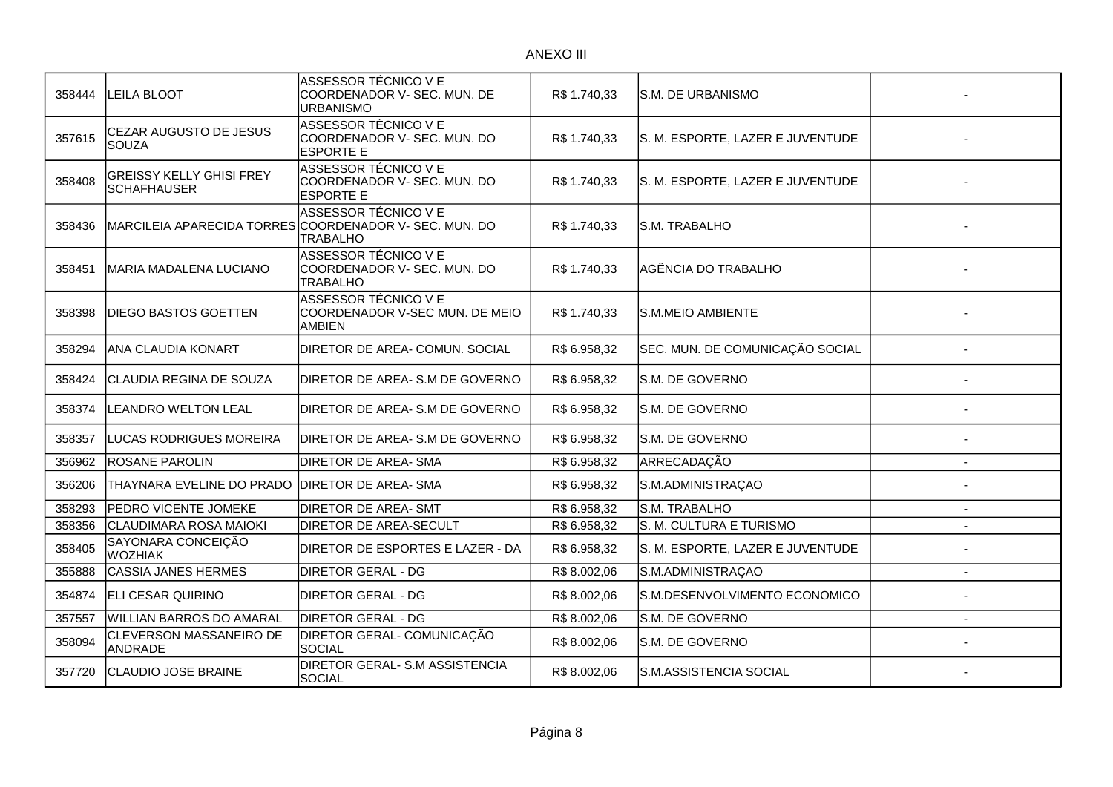| 358444 | <b>LEILA BLOOT</b>                                    | ASSESSOR TÉCNICO V E<br>COORDENADOR V- SEC. MUN. DE<br>URBANISMO                                  | R\$ 1.740,33 | S.M. DE URBANISMO                |                |
|--------|-------------------------------------------------------|---------------------------------------------------------------------------------------------------|--------------|----------------------------------|----------------|
| 357615 | CEZAR AUGUSTO DE JESUS<br><b>SOUZA</b>                | ASSESSOR TÉCNICO VE<br>COORDENADOR V- SEC. MUN. DO<br><b>ESPORTE E</b>                            | R\$1.740,33  | S. M. ESPORTE, LAZER E JUVENTUDE |                |
| 358408 | <b>GREISSY KELLY GHISI FREY</b><br><b>SCHAFHAUSER</b> | ASSESSOR TÉCNICO V E<br>COORDENADOR V- SEC. MUN. DO<br><b>ESPORTE E</b>                           | R\$1.740,33  | S. M. ESPORTE, LAZER E JUVENTUDE |                |
| 358436 |                                                       | ASSESSOR TÉCNICO V E<br>MARCILEIA APARECIDA TORRES COORDENADOR V- SEC. MUN. DO<br><b>TRABALHO</b> | R\$ 1.740,33 | S.M. TRABALHO                    |                |
| 358451 | <b>MARIA MADALENA LUCIANO</b>                         | ASSESSOR TÉCNICO V E<br>COORDENADOR V- SEC. MUN. DO<br><b>TRABALHO</b>                            | R\$ 1.740,33 | AGÊNCIA DO TRABALHO              |                |
| 358398 | DIEGO BASTOS GOETTEN                                  | ASSESSOR TÉCNICO V E<br>COORDENADOR V-SEC MUN. DE MEIO<br><b>AMBIEN</b>                           | R\$ 1.740,33 | S.M.MEIO AMBIENTE                |                |
| 358294 | <b>ANA CLAUDIA KONART</b>                             | DIRETOR DE AREA- COMUN. SOCIAL                                                                    | R\$ 6.958,32 | SEC. MUN. DE COMUNICAÇÃO SOCIAL  |                |
| 358424 | CLAUDIA REGINA DE SOUZA                               | DIRETOR DE AREA-S.M DE GOVERNO                                                                    | R\$ 6.958,32 | S.M. DE GOVERNO                  |                |
| 358374 | <b>LEANDRO WELTON LEAL</b>                            | DIRETOR DE AREA-S.M DE GOVERNO                                                                    | R\$ 6.958,32 | S.M. DE GOVERNO                  |                |
| 358357 | LUCAS RODRIGUES MOREIRA                               | DIRETOR DE AREA-S.M DE GOVERNO                                                                    | R\$ 6.958,32 | lS.M. DE GOVERNO                 |                |
| 356962 | ROSANE PAROLIN                                        | <b>DIRETOR DE AREA- SMA</b>                                                                       | R\$ 6.958,32 | ARRECADAÇÃO                      |                |
| 356206 | THAYNARA EVELINE DO PRADO                             | <b>DIRETOR DE AREA- SMA</b>                                                                       | R\$ 6.958,32 | S.M.ADMINISTRAÇAO                |                |
| 358293 | PEDRO VICENTE JOMEKE                                  | <b>DIRETOR DE AREA- SMT</b>                                                                       | R\$ 6.958,32 | S.M. TRABALHO                    | $\overline{a}$ |
| 358356 | CLAUDIMARA ROSA MAIOKI                                | <b>DIRETOR DE AREA-SECULT</b>                                                                     | R\$ 6.958,32 | S. M. CULTURA E TURISMO          |                |
| 358405 | SAYONARA CONCEIÇÃO<br><b>WOZHIAK</b>                  | DIRETOR DE ESPORTES E LAZER - DA                                                                  | R\$ 6.958,32 | S. M. ESPORTE, LAZER E JUVENTUDE |                |
| 355888 | <b>CASSIA JANES HERMES</b>                            | <b>DIRETOR GERAL - DG</b>                                                                         | R\$8.002,06  | S.M.ADMINISTRAÇAO                | $\overline{a}$ |
| 354874 | <b>ELI CESAR QUIRINO</b>                              | <b>DIRETOR GERAL - DG</b>                                                                         | R\$8.002,06  | S.M.DESENVOLVIMENTO ECONOMICO    |                |
| 357557 | WILLIAN BARROS DO AMARAL                              | <b>DIRETOR GERAL - DG</b>                                                                         | R\$8.002,06  | S.M. DE GOVERNO                  |                |
| 358094 | <b>CLEVERSON MASSANEIRO DE</b><br>ANDRADE             | <b>DIRETOR GERAL- COMUNICAÇÃO</b><br>SOCIAL                                                       | R\$8.002,06  | S.M. DE GOVERNO                  |                |
| 357720 | <b>CLAUDIO JOSE BRAINE</b>                            | <b>DIRETOR GERAL- S.M ASSISTENCIA</b><br><b>SOCIAL</b>                                            | R\$8.002,06  | S.M.ASSISTENCIA SOCIAL           |                |